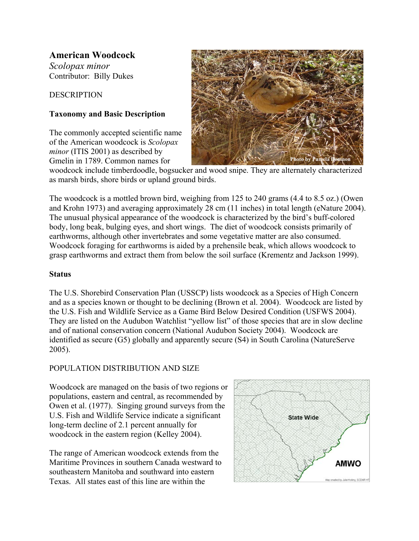# **American Woodcock**

*Scolopax minor* Contributor: Billy Dukes

**DESCRIPTION** 

## **Taxonomy and Basic Description**

The commonly accepted scientific name of the American woodcock is *Scolopax minor* (ITIS 2001) as described by Gmelin in 1789. Common names for



woodcock include timberdoodle, bogsucker and wood snipe. They are alternately characterized as marsh birds, shore birds or upland ground birds.

The woodcock is a mottled brown bird, weighing from 125 to 240 grams (4.4 to 8.5 oz.) (Owen and Krohn 1973) and averaging approximately 28 cm (11 inches) in total length (eNature 2004). The unusual physical appearance of the woodcock is characterized by the bird's buff-colored body, long beak, bulging eyes, and short wings. The diet of woodcock consists primarily of earthworms, although other invertebrates and some vegetative matter are also consumed. Woodcock foraging for earthworms is aided by a prehensile beak, which allows woodcock to grasp earthworms and extract them from below the soil surface (Krementz and Jackson 1999).

#### **Status**

The U.S. Shorebird Conservation Plan (USSCP) lists woodcock as a Species of High Concern and as a species known or thought to be declining (Brown et al. 2004). Woodcock are listed by the U.S. Fish and Wildlife Service as a Game Bird Below Desired Condition (USFWS 2004). They are listed on the Audubon Watchlist "yellow list" of those species that are in slow decline and of national conservation concern (National Audubon Society 2004). Woodcock are identified as secure (G5) globally and apparently secure (S4) in South Carolina (NatureServe 2005).

# POPULATION DISTRIBUTION AND SIZE

Woodcock are managed on the basis of two regions or populations, eastern and central, as recommended by Owen et al. (1977). Singing ground surveys from the U.S. Fish and Wildlife Service indicate a significant long-term decline of 2.1 percent annually for woodcock in the eastern region (Kelley 2004).

The range of American woodcock extends from the Maritime Provinces in southern Canada westward to southeastern Manitoba and southward into eastern Texas. All states east of this line are within the

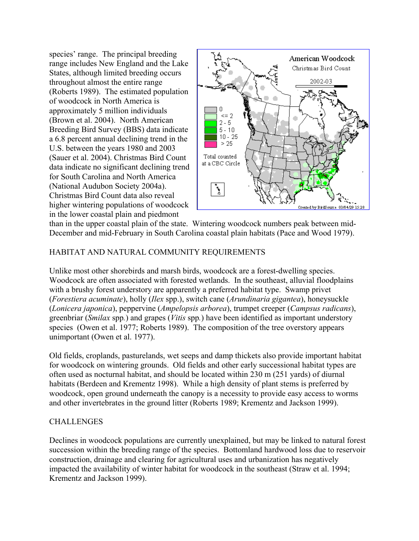species' range. The principal breeding range includes New England and the Lake States, although limited breeding occurs throughout almost the entire range (Roberts 1989). The estimated population of woodcock in North America is approximately 5 million individuals (Brown et al. 2004). North American Breeding Bird Survey (BBS) data indicate a 6.8 percent annual declining trend in the U.S. between the years 1980 and 2003 (Sauer et al. 2004). Christmas Bird Count data indicate no significant declining trend for South Carolina and North America (National Audubon Society 2004a). Christmas Bird Count data also reveal higher wintering populations of woodcock in the lower coastal plain and piedmont



than in the upper coastal plain of the state. Wintering woodcock numbers peak between mid-December and mid-February in South Carolina coastal plain habitats (Pace and Wood 1979).

### HABITAT AND NATURAL COMMUNITY REQUIREMENTS

Unlike most other shorebirds and marsh birds, woodcock are a forest-dwelling species. Woodcock are often associated with forested wetlands. In the southeast, alluvial floodplains with a brushy forest understory are apparently a preferred habitat type. Swamp privet (*Forestiera acuminate*), holly (*Ilex* spp.), switch cane (*Arundinaria gigantea*), honeysuckle (*Lonicera japonica*), peppervine (*Ampelopsis arborea*), trumpet creeper (*Campsus radicans*), greenbriar (*Smilax* spp*.*) and grapes (*Vitis* spp*.*) have been identified as important understory species (Owen et al. 1977; Roberts 1989). The composition of the tree overstory appears unimportant (Owen et al. 1977).

Old fields, croplands, pasturelands, wet seeps and damp thickets also provide important habitat for woodcock on wintering grounds. Old fields and other early successional habitat types are often used as nocturnal habitat, and should be located within 230 m (251 yards) of diurnal habitats (Berdeen and Krementz 1998). While a high density of plant stems is preferred by woodcock, open ground underneath the canopy is a necessity to provide easy access to worms and other invertebrates in the ground litter (Roberts 1989; Krementz and Jackson 1999).

#### **CHALLENGES**

Declines in woodcock populations are currently unexplained, but may be linked to natural forest succession within the breeding range of the species. Bottomland hardwood loss due to reservoir construction, drainage and clearing for agricultural uses and urbanization has negatively impacted the availability of winter habitat for woodcock in the southeast (Straw et al. 1994; Krementz and Jackson 1999).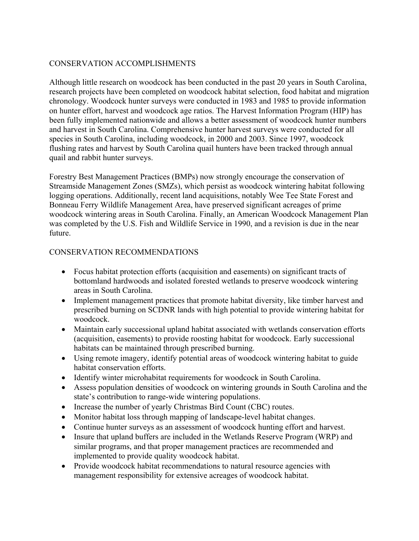### CONSERVATION ACCOMPLISHMENTS

Although little research on woodcock has been conducted in the past 20 years in South Carolina, research projects have been completed on woodcock habitat selection, food habitat and migration chronology. Woodcock hunter surveys were conducted in 1983 and 1985 to provide information on hunter effort, harvest and woodcock age ratios. The Harvest Information Program (HIP) has been fully implemented nationwide and allows a better assessment of woodcock hunter numbers and harvest in South Carolina. Comprehensive hunter harvest surveys were conducted for all species in South Carolina, including woodcock, in 2000 and 2003. Since 1997, woodcock flushing rates and harvest by South Carolina quail hunters have been tracked through annual quail and rabbit hunter surveys.

Forestry Best Management Practices (BMPs) now strongly encourage the conservation of Streamside Management Zones (SMZs), which persist as woodcock wintering habitat following logging operations. Additionally, recent land acquisitions, notably Wee Tee State Forest and Bonneau Ferry Wildlife Management Area, have preserved significant acreages of prime woodcock wintering areas in South Carolina. Finally, an American Woodcock Management Plan was completed by the U.S. Fish and Wildlife Service in 1990, and a revision is due in the near future.

#### CONSERVATION RECOMMENDATIONS

- Focus habitat protection efforts (acquisition and easements) on significant tracts of bottomland hardwoods and isolated forested wetlands to preserve woodcock wintering areas in South Carolina.
- Implement management practices that promote habitat diversity, like timber harvest and prescribed burning on SCDNR lands with high potential to provide wintering habitat for woodcock.
- Maintain early successional upland habitat associated with wetlands conservation efforts (acquisition, easements) to provide roosting habitat for woodcock. Early successional habitats can be maintained through prescribed burning.
- Using remote imagery, identify potential areas of woodcock wintering habitat to guide habitat conservation efforts.
- Identify winter microhabitat requirements for woodcock in South Carolina.
- Assess population densities of woodcock on wintering grounds in South Carolina and the state's contribution to range-wide wintering populations.
- Increase the number of yearly Christmas Bird Count (CBC) routes.
- Monitor habitat loss through mapping of landscape-level habitat changes.
- Continue hunter surveys as an assessment of woodcock hunting effort and harvest.
- Insure that upland buffers are included in the Wetlands Reserve Program (WRP) and similar programs, and that proper management practices are recommended and implemented to provide quality woodcock habitat.
- Provide woodcock habitat recommendations to natural resource agencies with management responsibility for extensive acreages of woodcock habitat.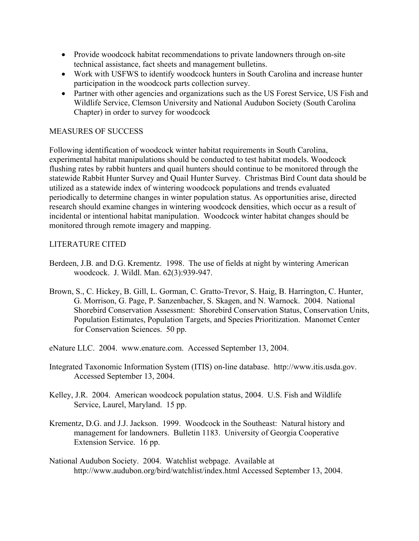- Provide woodcock habitat recommendations to private landowners through on-site technical assistance, fact sheets and management bulletins.
- Work with USFWS to identify woodcock hunters in South Carolina and increase hunter participation in the woodcock parts collection survey.
- Partner with other agencies and organizations such as the US Forest Service, US Fish and Wildlife Service, Clemson University and National Audubon Society (South Carolina Chapter) in order to survey for woodcock

#### MEASURES OF SUCCESS

Following identification of woodcock winter habitat requirements in South Carolina, experimental habitat manipulations should be conducted to test habitat models. Woodcock flushing rates by rabbit hunters and quail hunters should continue to be monitored through the statewide Rabbit Hunter Survey and Quail Hunter Survey. Christmas Bird Count data should be utilized as a statewide index of wintering woodcock populations and trends evaluated periodically to determine changes in winter population status. As opportunities arise, directed research should examine changes in wintering woodcock densities, which occur as a result of incidental or intentional habitat manipulation. Woodcock winter habitat changes should be monitored through remote imagery and mapping.

# LITERATURE CITED

- Berdeen, J.B. and D.G. Krementz. 1998. The use of fields at night by wintering American woodcock. J. Wildl. Man. 62(3):939-947.
- Brown, S., C. Hickey, B. Gill, L. Gorman, C. Gratto-Trevor, S. Haig, B. Harrington, C. Hunter, G. Morrison, G. Page, P. Sanzenbacher, S. Skagen, and N. Warnock. 2004. National Shorebird Conservation Assessment: Shorebird Conservation Status, Conservation Units, Population Estimates, Population Targets, and Species Prioritization. Manomet Center for Conservation Sciences. 50 pp.
- eNature LLC. 2004. www.enature.com. Accessed September 13, 2004.
- Integrated Taxonomic Information System (ITIS) on-line database. http://www.itis.usda.gov. Accessed September 13, 2004.
- Kelley, J.R. 2004. American woodcock population status, 2004. U.S. Fish and Wildlife Service, Laurel, Maryland. 15 pp.
- Krementz, D.G. and J.J. Jackson. 1999. Woodcock in the Southeast: Natural history and management for landowners. Bulletin 1183. University of Georgia Cooperative Extension Service. 16 pp.
- National Audubon Society. 2004. Watchlist webpage. Available at http://www.audubon.org/bird/watchlist/index.html Accessed September 13, 2004.